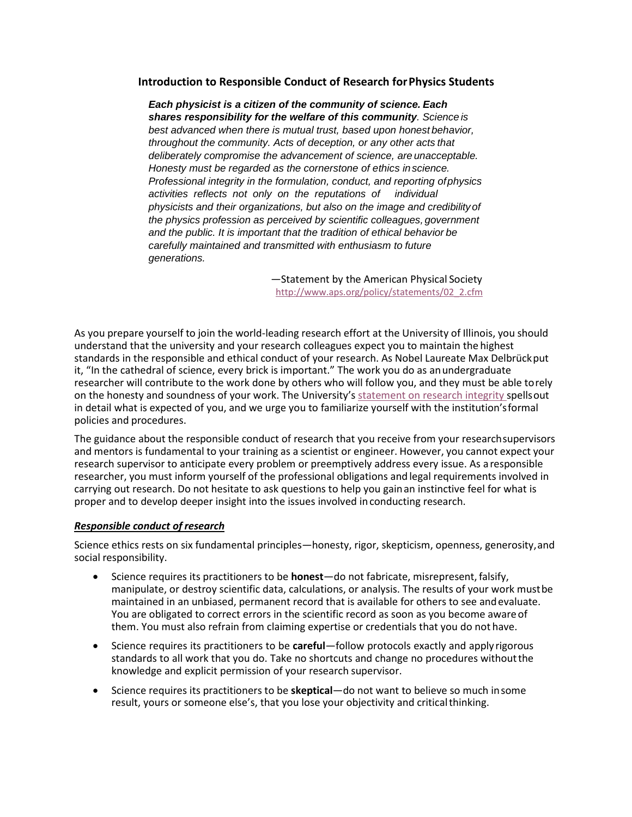### **Introduction to Responsible Conduct of Research forPhysics Students**

*Each physicist is a citizen of the community of science. Each shares responsibility for the welfare of this community. Science is best advanced when there is mutual trust, based upon honest behavior, throughout the community. Acts of deception, or any other acts that deliberately compromise the advancement of science, are unacceptable. Honesty must be regarded as the cornerstone of ethics inscience. Professional integrity in the formulation, conduct, and reporting ofphysics activities reflects not only on the reputations of individual physicists and their organizations, but also on the image and credibilityof the physics profession as perceived by scientific colleagues, government and the public. It is important that the tradition of ethical behavior be carefully maintained and transmitted with enthusiasm to future generations.*

> —Statement by the American Physical Society [http://www.aps.org/policy/statements/02\\_2.cfm](http://www.aps.org/policy/statements/02_2.cfm)

As you prepare yourself to join the world-leading research effort at the University of Illinois, you should understand that the university and your research colleagues expect you to maintain the highest standards in the responsible and ethical conduct of your research. As Nobel Laureate Max Delbrückput it, "In the cathedral of science, every brick is important." The work you do as anundergraduate researcher will contribute to the work done by others who will follow you, and they must be able torely on the honesty and soundness of your work. The University's [statement on research integrity s](https://research.illinois.edu/regulatory-compliance-safety/research-integrity-and-ethics)pellsout in detail what is expected of you, and we urge you to familiarize yourself with the institution'sformal policies and procedures.

The guidance about the responsible conduct of research that you receive from your researchsupervisors and mentors is fundamental to your training as a scientist or engineer. However, you cannot expect your research supervisor to anticipate every problem or preemptively address every issue. As a responsible researcher, you must inform yourself of the professional obligations and legal requirements involved in carrying out research. Do not hesitate to ask questions to help you gainan instinctive feel for what is proper and to develop deeper insight into the issues involved inconducting research.

#### *Responsible conduct of research*

Science ethics rests on six fundamental principles—honesty, rigor, skepticism, openness, generosity,and social responsibility.

- Science requires its practitioners to be **honest**—do not fabricate, misrepresent, falsify, manipulate, or destroy scientific data, calculations, or analysis. The results of your work mustbe maintained in an unbiased, permanent record that is available for others to see andevaluate. You are obligated to correct errors in the scientific record as soon as you become awareof them. You must also refrain from claiming expertise or credentials that you do not have.
- Science requires its practitioners to be **careful**—follow protocols exactly and apply rigorous standards to all work that you do. Take no shortcuts and change no procedures withoutthe knowledge and explicit permission of your research supervisor.
- Science requires its practitioners to be **skeptical**—do not want to believe so much insome result, yours or someone else's, that you lose your objectivity and criticalthinking.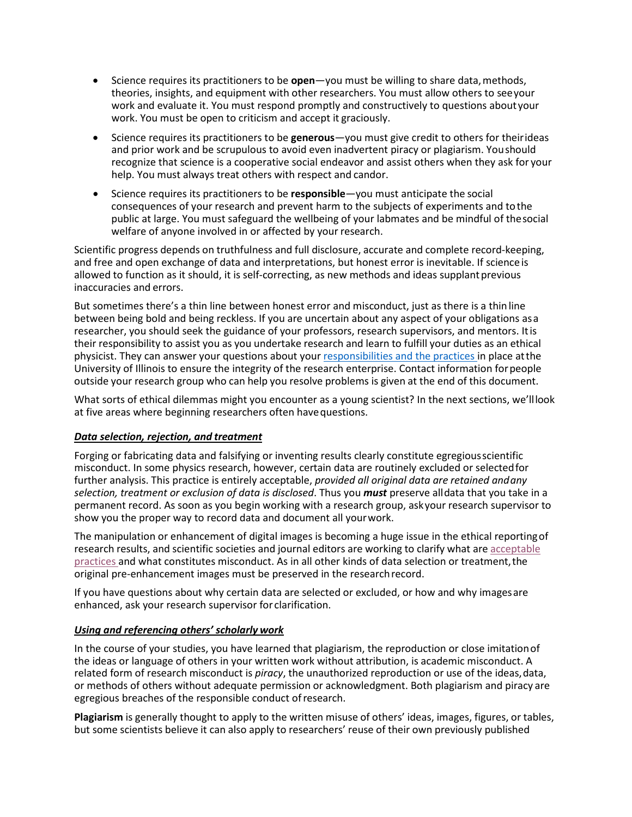- Science requires its practitioners to be **open**—you must be willing to share data, methods, theories, insights, and equipment with other researchers. You must allow others to seeyour work and evaluate it. You must respond promptly and constructively to questions about your work. You must be open to criticism and accept it graciously.
- Science requires its practitioners to be **generous**—you must give credit to others for theirideas and prior work and be scrupulous to avoid even inadvertent piracy or plagiarism. Youshould recognize that science is a cooperative social endeavor and assist others when they ask for your help. You must always treat others with respect and candor.
- Science requires its practitioners to be **responsible**—you must anticipate the social consequences of your research and prevent harm to the subjects of experiments and tothe public at large. You must safeguard the wellbeing of your labmates and be mindful of thesocial welfare of anyone involved in or affected by your research.

Scientific progress depends on truthfulness and full disclosure, accurate and complete record-keeping, and free and open exchange of data and interpretations, but honest error is inevitable. If science is allowed to function as it should, it is self-correcting, as new methods and ideas supplant previous inaccuracies and errors.

But sometimes there's a thin line between honest error and misconduct, just as there is a thinline between being bold and being reckless. If you are uncertain about any aspect of your obligations as a researcher, you should seek the guidance of your professors, research supervisors, and mentors. Itis their responsibility to assist you as you undertake research and learn to fulfill your duties as an ethical physicist. They can answer your questions about you[r responsibilities and the practices i](https://www.vpaa.uillinois.edu/UserFiles/Servers/Server_420372/File/Integrity-Policy.pdf)n place atthe University of Illinois to ensure the integrity of the research enterprise. Contact information forpeople outside your research group who can help you resolve problems is given at the end of this document.

What sorts of ethical dilemmas might you encounter as a young scientist? In the next sections, we'lllook at five areas where beginning researchers often havequestions.

# *Data selection, rejection, and treatment*

Forging or fabricating data and falsifying or inventing results clearly constitute egregiousscientific misconduct. In some physics research, however, certain data are routinely excluded or selectedfor further analysis. This practice is entirely acceptable, *provided all original data are retained andany selection, treatment or exclusion of data is disclosed*. Thus you *must* preserve alldata that you take in a permanent record. As soon as you begin working with a research group, askyour research supervisor to show you the proper way to record data and document all yourwork.

The manipulation or enhancement of digital images is becoming a huge issue in the ethical reportingof research results, and scientific societies and journal editors are working to clarify what are [acceptable](http://www.councilscienceeditors.org/resource-library/editorial-policies/white-paper-on-publication-ethics/3-4-digital-images-and-misconduct/) [practices a](http://www.councilscienceeditors.org/resource-library/editorial-policies/white-paper-on-publication-ethics/3-4-digital-images-and-misconduct/)nd what constitutes misconduct. As in all other kinds of data selection or treatment,the original pre-enhancement images must be preserved in the researchrecord.

If you have questions about why certain data are selected or excluded, or how and why imagesare enhanced, ask your research supervisor for clarification.

#### *Using and referencing others' scholarly work*

In the course of your studies, you have learned that plagiarism, the reproduction or close imitationof the ideas or language of others in your written work without attribution, is academic misconduct. A related form of research misconduct is *piracy*, the unauthorized reproduction or use of the ideas,data, or methods of others without adequate permission or acknowledgment. Both plagiarism and piracy are egregious breaches of the responsible conduct ofresearch.

**Plagiarism** is generally thought to apply to the written misuse of others' ideas, images, figures, or tables, but some scientists believe it can also apply to researchers' reuse of their own previously published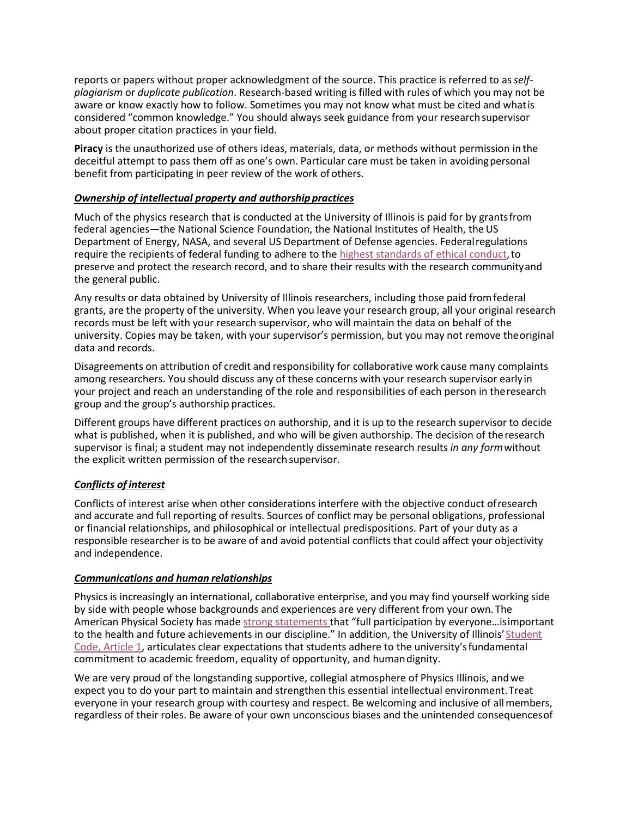reports or papers without proper acknowledgment of the source. This practice is referred to as *selfplagiarism* or *duplicate publication*. Research-based writing is filled with rules of which you may not be aware or know exactly how to follow. Sometimes you may not know what must be cited and whatis considered "common knowledge." You should always seek guidance from your researchsupervisor about proper citation practices in your field.

**Piracy** is the unauthorized use of others ideas, materials, data, or methods without permission in the deceitful attempt to pass them off as one's own. Particular care must be taken in avoidingpersonal benefit from participating in peer review of the work of others.

# *Ownership of intellectual property and authorship practices*

Much of the physics research that is conducted at the University of Illinois is paid for by grantsfrom federal agencies—the National Science Foundation, the National Institutes of Health, the US Department of Energy, NASA, and several US Department of Defense agencies. Federalregulations require the recipients of federal funding to adhere to the [highest standards of ethical conduct,](https://www.gpo.gov/fdsys/pkg/FR-2000-12-06/pdf/00-30852.pdf) to preserve and protect the research record, and to share their results with the research communityand the general public.

Any results or data obtained by University of Illinois researchers, including those paid fromfederal grants, are the property of the university. When you leave your research group, all your original research records must be left with your research supervisor, who will maintain the data on behalf of the university. Copies may be taken, with your supervisor's permission, but you may not remove theoriginal data and records.

Disagreements on attribution of credit and responsibility for collaborative work cause many complaints among researchers. You should discuss any of these concerns with your research supervisor earlyin your project and reach an understanding of the role and responsibilities of each person in theresearch group and the group's authorship practices.

Different groups have different practices on authorship, and it is up to the research supervisor to decide what is published, when it is published, and who will be given authorship. The decision of theresearch supervisor is final; a student may not independently disseminate research results *in any form*without the explicit written permission of the research supervisor.

# *Conflicts of interest*

Conflicts of interest arise when other considerations interfere with the objective conduct ofresearch and accurate and full reporting of results. Sources of conflict may be personal obligations, professional or financial relationships, and philosophical or intellectual predispositions. Part of your duty as a responsible researcher is to be aware of and avoid potential conflicts that could affect your objectivity and independence.

# *Communications and human relationships*

Physics is increasingly an international, collaborative enterprise, and you may find yourself working side by side with people whose backgrounds and experiences are very different from your own. The American Physical Society has mad[e strong statements t](http://www.aps.org/policy/statements/index.cfm)hat "full participation by everyone…isimportant to the health and future achievements in our discipline." In addition, the University of Illinois' [Student](http://studentcode.illinois.edu/article1_part1_1-108.html) [Code, Article 1,](http://studentcode.illinois.edu/article1_part1_1-108.html) articulates clear expectations that students adhere to the university'sfundamental commitment to academic freedom, equality of opportunity, and humandignity.

We are very proud of the longstanding supportive, collegial atmosphere of Physics Illinois, andwe expect you to do your part to maintain and strengthen this essential intellectual environment.Treat everyone in your research group with courtesy and respect. Be welcoming and inclusive of all members, regardless of their roles. Be aware of your own unconscious biases and the unintended consequencesof